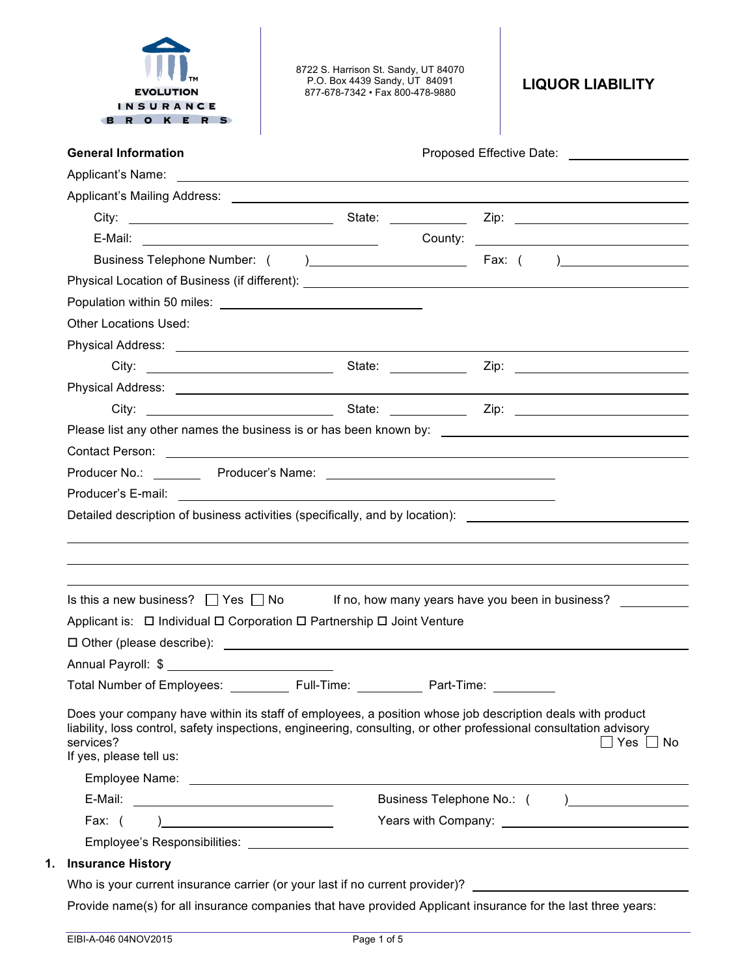| <b>EVOLUTION</b><br><b>INSURANCE</b><br>R O K E R S                                                                                                                                                                                                                    | 8722 S. Harrison St. Sandy, UT 84070<br>P.O. Box 4439 Sandy, UT 84091<br>877-678-7342 · Fax 800-478-9880 | <b>LIQUOR LIABILITY</b>                          |
|------------------------------------------------------------------------------------------------------------------------------------------------------------------------------------------------------------------------------------------------------------------------|----------------------------------------------------------------------------------------------------------|--------------------------------------------------|
| <b>General Information</b>                                                                                                                                                                                                                                             |                                                                                                          |                                                  |
|                                                                                                                                                                                                                                                                        |                                                                                                          |                                                  |
|                                                                                                                                                                                                                                                                        |                                                                                                          |                                                  |
|                                                                                                                                                                                                                                                                        |                                                                                                          |                                                  |
|                                                                                                                                                                                                                                                                        |                                                                                                          |                                                  |
|                                                                                                                                                                                                                                                                        |                                                                                                          |                                                  |
|                                                                                                                                                                                                                                                                        |                                                                                                          |                                                  |
|                                                                                                                                                                                                                                                                        |                                                                                                          |                                                  |
| Other Locations Used:                                                                                                                                                                                                                                                  |                                                                                                          |                                                  |
|                                                                                                                                                                                                                                                                        |                                                                                                          |                                                  |
|                                                                                                                                                                                                                                                                        |                                                                                                          |                                                  |
|                                                                                                                                                                                                                                                                        |                                                                                                          |                                                  |
|                                                                                                                                                                                                                                                                        |                                                                                                          |                                                  |
|                                                                                                                                                                                                                                                                        |                                                                                                          |                                                  |
|                                                                                                                                                                                                                                                                        |                                                                                                          |                                                  |
|                                                                                                                                                                                                                                                                        |                                                                                                          |                                                  |
|                                                                                                                                                                                                                                                                        |                                                                                                          |                                                  |
|                                                                                                                                                                                                                                                                        |                                                                                                          |                                                  |
|                                                                                                                                                                                                                                                                        |                                                                                                          |                                                  |
| Detailed description of business activities (specifically, and by location): ________________________________<br>Is this a new business? $\Box$ Yes $\Box$ No<br>Applicant is: □ Individual □ Corporation □ Partnership □ Joint Venture                                |                                                                                                          | If no, how many years have you been in business? |
|                                                                                                                                                                                                                                                                        |                                                                                                          |                                                  |
| Total Number of Employees: ____________ Full-Time: ____________ Part-Time: __________                                                                                                                                                                                  |                                                                                                          |                                                  |
| Does your company have within its staff of employees, a position whose job description deals with product<br>liability, loss control, safety inspections, engineering, consulting, or other professional consultation advisory<br>services?<br>If yes, please tell us: |                                                                                                          | ∐ Yes ∐ No                                       |
|                                                                                                                                                                                                                                                                        |                                                                                                          |                                                  |
|                                                                                                                                                                                                                                                                        |                                                                                                          |                                                  |
| Fax: $($<br>) and the contract of the contract of $\mathcal{L}$                                                                                                                                                                                                        |                                                                                                          | Years with Company: Network of Company:          |
| <b>Insurance History</b>                                                                                                                                                                                                                                               |                                                                                                          |                                                  |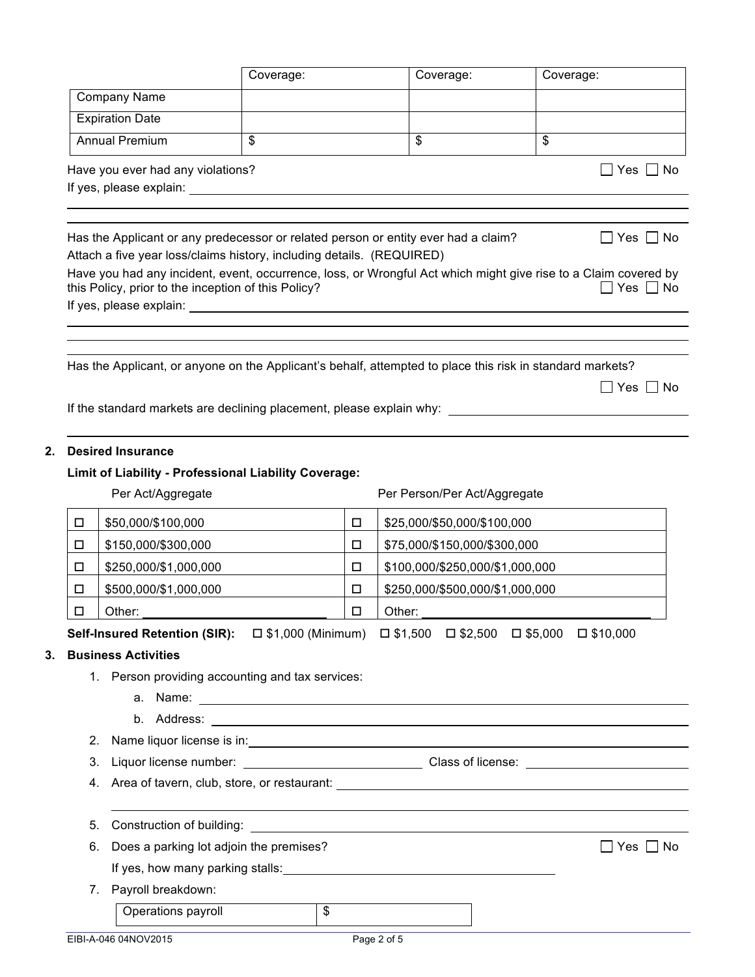|    |                                                     | Coverage:                                                                                                                                                                         |        | Coverage:                       | Coverage:                                                                                                                                          |
|----|-----------------------------------------------------|-----------------------------------------------------------------------------------------------------------------------------------------------------------------------------------|--------|---------------------------------|----------------------------------------------------------------------------------------------------------------------------------------------------|
|    | <b>Company Name</b>                                 |                                                                                                                                                                                   |        |                                 |                                                                                                                                                    |
|    | <b>Expiration Date</b>                              |                                                                                                                                                                                   |        |                                 |                                                                                                                                                    |
|    | <b>Annual Premium</b>                               | \$                                                                                                                                                                                |        | \$                              | \$                                                                                                                                                 |
|    | Have you ever had any violations?                   | If yes, please explain: If yes, please explain:                                                                                                                                   |        |                                 | _  Yes   _  No                                                                                                                                     |
|    | this Policy, prior to the inception of this Policy? | Has the Applicant or any predecessor or related person or entity ever had a claim?<br>Attach a five year loss/claims history, including details. (REQUIRED)                       |        |                                 | $Yes \perp No$<br>Have you had any incident, event, occurrence, loss, or Wrongful Act which might give rise to a Claim covered by<br>Yes  <br>l No |
|    |                                                     |                                                                                                                                                                                   |        |                                 |                                                                                                                                                    |
|    |                                                     | Has the Applicant, or anyone on the Applicant's behalf, attempted to place this risk in standard markets?<br>If the standard markets are declining placement, please explain why: |        |                                 | $\Box$ Yes $\Box$<br>l No                                                                                                                          |
|    | <b>Desired Insurance</b>                            | Limit of Liability - Professional Liability Coverage:                                                                                                                             |        |                                 |                                                                                                                                                    |
|    | Per Act/Aggregate                                   |                                                                                                                                                                                   |        | Per Person/Per Act/Aggregate    |                                                                                                                                                    |
| □  | \$50,000/\$100,000                                  |                                                                                                                                                                                   | $\Box$ | \$25,000/\$50,000/\$100,000     |                                                                                                                                                    |
| □  | \$150,000/\$300,000                                 |                                                                                                                                                                                   | □      | \$75,000/\$150,000/\$300,000    |                                                                                                                                                    |
| □  | \$250,000/\$1,000,000                               |                                                                                                                                                                                   | □      | \$100,000/\$250,000/\$1,000,000 |                                                                                                                                                    |
| □  | \$500,000/\$1,000,000                               |                                                                                                                                                                                   | □      | \$250,000/\$500,000/\$1,000,000 |                                                                                                                                                    |
| □  | Other:                                              |                                                                                                                                                                                   | □      | Other:                          |                                                                                                                                                    |
|    |                                                     | Self-Insured Retention (SIR): □ \$1,000 (Minimum) □ \$1,500 □ \$2,500 □ \$5,000 □ \$10,000                                                                                        |        |                                 |                                                                                                                                                    |
|    | <b>Business Activities</b>                          |                                                                                                                                                                                   |        |                                 |                                                                                                                                                    |
|    |                                                     | 1. Person providing accounting and tax services:                                                                                                                                  |        |                                 |                                                                                                                                                    |
|    |                                                     |                                                                                                                                                                                   |        |                                 |                                                                                                                                                    |
|    |                                                     |                                                                                                                                                                                   |        |                                 |                                                                                                                                                    |
| 2. |                                                     |                                                                                                                                                                                   |        |                                 |                                                                                                                                                    |
| 3. |                                                     |                                                                                                                                                                                   |        |                                 |                                                                                                                                                    |
|    |                                                     |                                                                                                                                                                                   |        |                                 |                                                                                                                                                    |
| 5. |                                                     |                                                                                                                                                                                   |        |                                 |                                                                                                                                                    |
| 6. |                                                     | Does a parking lot adjoin the premises?                                                                                                                                           |        |                                 | $\Box$ Yes $\Box$<br>No                                                                                                                            |
|    |                                                     |                                                                                                                                                                                   |        |                                 |                                                                                                                                                    |
|    | 7. Payroll breakdown:                               |                                                                                                                                                                                   |        |                                 |                                                                                                                                                    |
|    | Operations payroll                                  | $\mathfrak{S}$                                                                                                                                                                    |        |                                 |                                                                                                                                                    |
|    | EIBI-A-046 04NOV2015                                |                                                                                                                                                                                   |        | Page 2 of 5                     |                                                                                                                                                    |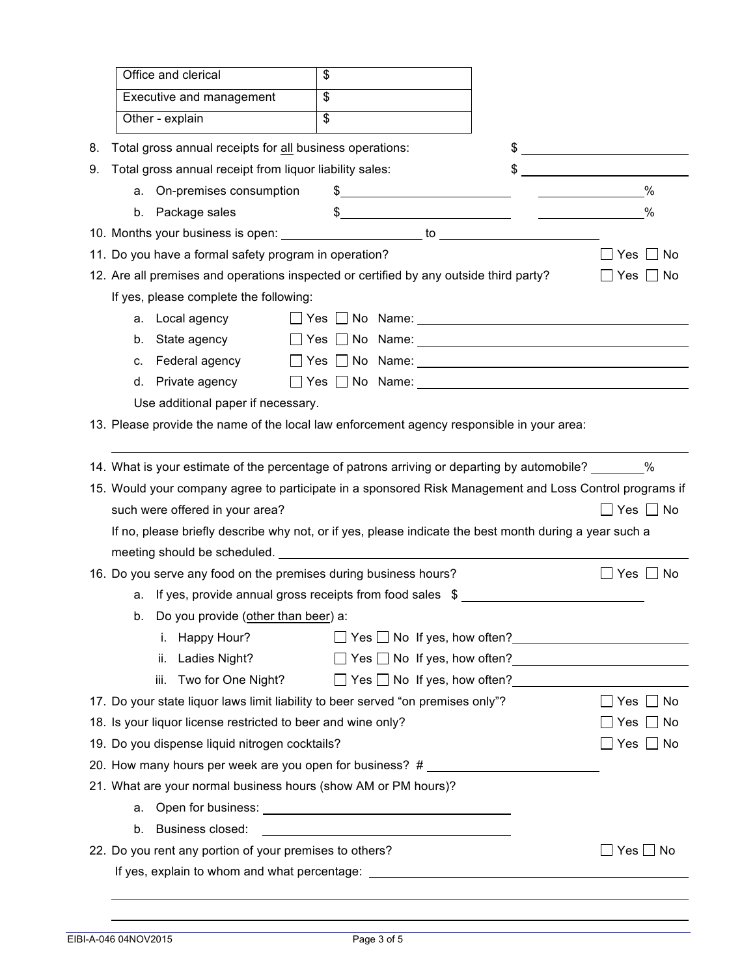|    | Office and clerical                                                                                                                                                                                                                  | \$ |                                                                                                                      |               |                                                                |  |
|----|--------------------------------------------------------------------------------------------------------------------------------------------------------------------------------------------------------------------------------------|----|----------------------------------------------------------------------------------------------------------------------|---------------|----------------------------------------------------------------|--|
|    | Executive and management                                                                                                                                                                                                             | \$ |                                                                                                                      |               |                                                                |  |
|    | Other - explain                                                                                                                                                                                                                      | \$ |                                                                                                                      |               |                                                                |  |
| 8. | Total gross annual receipts for all business operations:                                                                                                                                                                             |    |                                                                                                                      |               | $\frac{1}{2}$                                                  |  |
| 9. | Total gross annual receipt from liquor liability sales:                                                                                                                                                                              |    |                                                                                                                      | \$            |                                                                |  |
|    | a. On-premises consumption                                                                                                                                                                                                           |    |                                                                                                                      | $\frac{1}{2}$ | $\%$                                                           |  |
|    | Package sales<br>b.                                                                                                                                                                                                                  |    |                                                                                                                      | $\frac{1}{2}$ | $\%$                                                           |  |
|    |                                                                                                                                                                                                                                      |    |                                                                                                                      |               |                                                                |  |
|    | 11. Do you have a formal safety program in operation?                                                                                                                                                                                |    |                                                                                                                      |               | $\Box$ Yes $\Box$ No                                           |  |
|    | 12. Are all premises and operations inspected or certified by any outside third party?                                                                                                                                               |    |                                                                                                                      |               | _  Yes   <br>∣No                                               |  |
|    | If yes, please complete the following:                                                                                                                                                                                               |    |                                                                                                                      |               |                                                                |  |
|    | Local agency<br>а.                                                                                                                                                                                                                   |    |                                                                                                                      |               |                                                                |  |
|    | State agency<br>b.                                                                                                                                                                                                                   |    |                                                                                                                      |               |                                                                |  |
|    | Federal agency<br>c.                                                                                                                                                                                                                 |    |                                                                                                                      |               |                                                                |  |
|    | d.                                                                                                                                                                                                                                   |    |                                                                                                                      |               |                                                                |  |
|    | Use additional paper if necessary.                                                                                                                                                                                                   |    |                                                                                                                      |               |                                                                |  |
|    | 13. Please provide the name of the local law enforcement agency responsible in your area:                                                                                                                                            |    |                                                                                                                      |               |                                                                |  |
|    |                                                                                                                                                                                                                                      |    |                                                                                                                      |               |                                                                |  |
|    | 14. What is your estimate of the percentage of patrons arriving or departing by automobile? $\%$                                                                                                                                     |    |                                                                                                                      |               |                                                                |  |
|    | 15. Would your company agree to participate in a sponsored Risk Management and Loss Control programs if                                                                                                                              |    |                                                                                                                      |               |                                                                |  |
|    | such were offered in your area?                                                                                                                                                                                                      |    |                                                                                                                      |               | ]Yes □ No                                                      |  |
|    | If no, please briefly describe why not, or if yes, please indicate the best month during a year such a                                                                                                                               |    |                                                                                                                      |               |                                                                |  |
|    | meeting should be scheduled. The same state of the state of the state of the state of the state of the state of the state of the state of the state of the state of the state of the state of the state of the state of the st       |    |                                                                                                                      |               |                                                                |  |
|    | 16. Do you serve any food on the premises during business hours?                                                                                                                                                                     |    |                                                                                                                      |               | Yes    No                                                      |  |
|    | a. If yes, provide annual gross receipts from food sales \$                                                                                                                                                                          |    |                                                                                                                      |               |                                                                |  |
|    | b. Do you provide (other than beer) a:                                                                                                                                                                                               |    |                                                                                                                      |               |                                                                |  |
|    | i. Happy Hour?                                                                                                                                                                                                                       |    |                                                                                                                      |               | $\Box$ Yes $\Box$ No If yes, how often?                        |  |
|    | ii. Ladies Night?                                                                                                                                                                                                                    |    |                                                                                                                      |               | □ Yes □ No If yes, how often?<br>□ Yes □ No If yes, how often? |  |
|    | Two for One Night?<br>iii.                                                                                                                                                                                                           |    |                                                                                                                      |               | $\Box$ Yes $\Box$ No If yes, how often?                        |  |
|    | 17. Do your state liquor laws limit liability to beer served "on premises only"?                                                                                                                                                     |    |                                                                                                                      |               | $\Box$ Yes $\Box$ No                                           |  |
|    | 18. Is your liquor license restricted to beer and wine only?                                                                                                                                                                         |    |                                                                                                                      |               | Yes $\Box$ No                                                  |  |
|    | 19. Do you dispense liquid nitrogen cocktails?                                                                                                                                                                                       |    |                                                                                                                      |               | ] Yes □ No                                                     |  |
|    | 20. How many hours per week are you open for business? #                                                                                                                                                                             |    |                                                                                                                      |               |                                                                |  |
|    | 21. What are your normal business hours (show AM or PM hours)?                                                                                                                                                                       |    |                                                                                                                      |               |                                                                |  |
|    | а.                                                                                                                                                                                                                                   |    |                                                                                                                      |               |                                                                |  |
|    | Business closed:<br>b.                                                                                                                                                                                                               |    | <u> 1989 - Johann Barbara, martin amerikan basal dan berasal dan berasal dalam basal dan berasal dan berasal dan</u> |               |                                                                |  |
|    | 22. Do you rent any portion of your premises to others?                                                                                                                                                                              |    |                                                                                                                      |               | $\Box$ Yes $\Box$ No                                           |  |
|    | If yes, explain to whom and what percentage: <u>[19] The Contract Contract Contract Contract Contract Contract Contract Contract Contract Contract Contract Contract Contract Contract Contract Contract Contract Contract Contr</u> |    |                                                                                                                      |               |                                                                |  |
|    |                                                                                                                                                                                                                                      |    |                                                                                                                      |               |                                                                |  |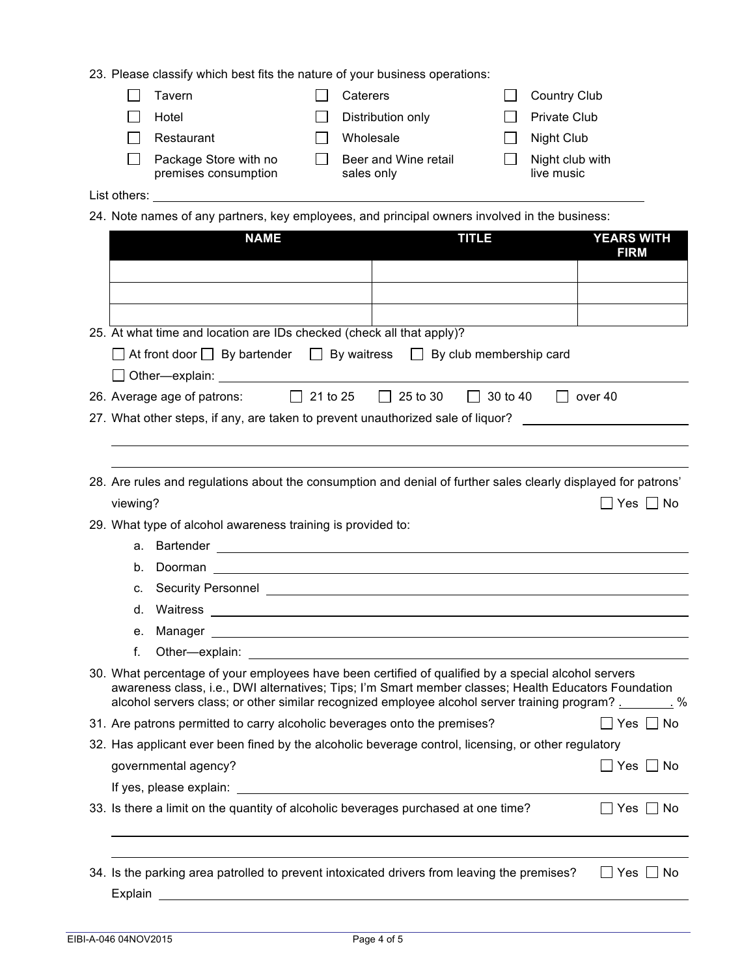23. Please classify which best fits the nature of your business operations:

|              | Tavern                                        | Caterers                           | <b>Country Club</b>           |
|--------------|-----------------------------------------------|------------------------------------|-------------------------------|
|              | Hotel                                         | Distribution only                  | Private Club                  |
|              | Restaurant                                    | Wholesale                          | Night Club                    |
|              | Package Store with no<br>premises consumption | Beer and Wine retail<br>sales only | Night club with<br>live music |
| List others: |                                               |                                    |                               |

24. Note names of any partners, key employees, and principal owners involved in the business:

| <b>NAME</b>                                                                                                                                                                                                                                                                                                   | <b>TITLE</b> | <b>YEARS WITH</b><br><b>FIRM</b> |
|---------------------------------------------------------------------------------------------------------------------------------------------------------------------------------------------------------------------------------------------------------------------------------------------------------------|--------------|----------------------------------|
|                                                                                                                                                                                                                                                                                                               |              |                                  |
|                                                                                                                                                                                                                                                                                                               |              |                                  |
|                                                                                                                                                                                                                                                                                                               |              |                                  |
| 25. At what time and location are IDs checked (check all that apply)?                                                                                                                                                                                                                                         |              |                                  |
| $\Box$ At front door $\Box$ By bartender $\Box$ By waitress $\Box$ By club membership card                                                                                                                                                                                                                    |              |                                  |
|                                                                                                                                                                                                                                                                                                               |              |                                  |
| 26. Average age of patrons: 21 to 25 25 to 30 30 to 40 30 over 40                                                                                                                                                                                                                                             |              |                                  |
| 27. What other steps, if any, are taken to prevent unauthorized sale of liquor?                                                                                                                                                                                                                               |              |                                  |
|                                                                                                                                                                                                                                                                                                               |              |                                  |
| 28. Are rules and regulations about the consumption and denial of further sales clearly displayed for patrons'                                                                                                                                                                                                |              |                                  |
| viewing?                                                                                                                                                                                                                                                                                                      |              | $\Box$ Yes $\Box$ No             |
| 29. What type of alcohol awareness training is provided to:                                                                                                                                                                                                                                                   |              |                                  |
|                                                                                                                                                                                                                                                                                                               |              |                                  |
| b.                                                                                                                                                                                                                                                                                                            |              |                                  |
|                                                                                                                                                                                                                                                                                                               |              |                                  |
| d. Waitress <b>contract and the contract of the contract of the contract of the contract of the contract of the contract of the contract of the contract of the contract of the contract of the contract of the contract of the </b>                                                                          |              |                                  |
|                                                                                                                                                                                                                                                                                                               |              |                                  |
| f.                                                                                                                                                                                                                                                                                                            |              |                                  |
| 30. What percentage of your employees have been certified of qualified by a special alcohol servers<br>awareness class, i.e., DWI alternatives; Tips; I'm Smart member classes; Health Educators Foundation<br>alcohol servers class; or other similar recognized employee alcohol server training program? % |              |                                  |
| 31. Are patrons permitted to carry alcoholic beverages onto the premises?                                                                                                                                                                                                                                     |              | $\Box$ Yes $\Box$ No             |
| 32. Has applicant ever been fined by the alcoholic beverage control, licensing, or other regulatory                                                                                                                                                                                                           |              |                                  |
| governmental agency?                                                                                                                                                                                                                                                                                          |              | $\Box$ Yes $\Box$ No             |
| If yes, please explain:                                                                                                                                                                                                                                                                                       |              |                                  |
| 33. Is there a limit on the quantity of alcoholic beverages purchased at one time?                                                                                                                                                                                                                            |              | $Yes$  <br>No                    |
|                                                                                                                                                                                                                                                                                                               |              |                                  |
| 34. Is the parking area patrolled to prevent intoxicated drivers from leaving the premises?<br>Explain                                                                                                                                                                                                        |              | Yes<br>No                        |